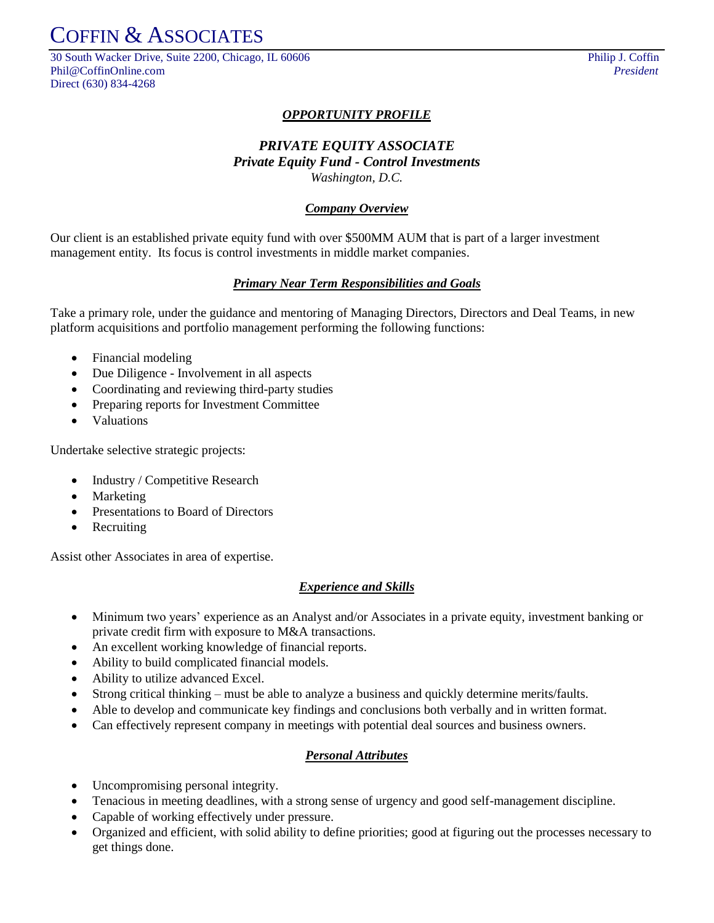COFFIN & ASSOCIATES

30 South Wacker Drive, Suite 2200, Chicago, IL 60606 Philip J. Coffin Phil@CoffinOnline.com *President* Direct (630) 834-4268

## *OPPORTUNITY PROFILE*

# *PRIVATE EQUITY ASSOCIATE Private Equity Fund - Control Investments Washington, D.C.*

#### *Company Overview*

Our client is an established private equity fund with over \$500MM AUM that is part of a larger investment management entity. Its focus is control investments in middle market companies.

#### *Primary Near Term Responsibilities and Goals*

Take a primary role, under the guidance and mentoring of Managing Directors, Directors and Deal Teams, in new platform acquisitions and portfolio management performing the following functions:

- Financial modeling
- Due Diligence Involvement in all aspects
- Coordinating and reviewing third-party studies
- Preparing reports for Investment Committee
- Valuations

Undertake selective strategic projects:

- Industry / Competitive Research
- Marketing
- Presentations to Board of Directors
- Recruiting

Assist other Associates in area of expertise.

#### *Experience and Skills*

- Minimum two years' experience as an Analyst and/or Associates in a private equity, investment banking or private credit firm with exposure to M&A transactions.
- An excellent working knowledge of financial reports.
- Ability to build complicated financial models.
- Ability to utilize advanced Excel.
- Strong critical thinking must be able to analyze a business and quickly determine merits/faults.
- Able to develop and communicate key findings and conclusions both verbally and in written format.
- Can effectively represent company in meetings with potential deal sources and business owners.

#### *Personal Attributes*

- Uncompromising personal integrity.
- Tenacious in meeting deadlines, with a strong sense of urgency and good self-management discipline.
- Capable of working effectively under pressure.
- Organized and efficient, with solid ability to define priorities; good at figuring out the processes necessary to get things done.